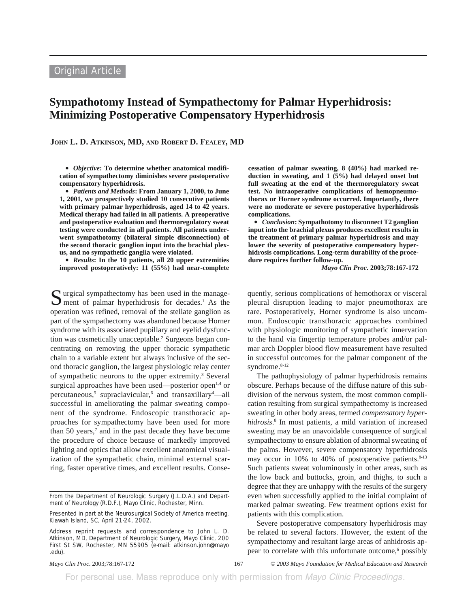# **Sympathotomy Instead of Sympathectomy for Palmar Hyperhidrosis: Minimizing Postoperative Compensatory Hyperhidrosis**

#### **JOHN L. D. ATKINSON, MD, AND ROBERT D. FEALEY, MD**

**•** *Objective***: To determine whether anatomical modification of sympathectomy diminishes severe postoperative compensatory hyperhidrosis.**

**•** *Patients and Methods***: From January 1, 2000, to June 1, 2001, we prospectively studied 10 consecutive patients with primary palmar hyperhidrosis, aged 14 to 42 years. Medical therapy had failed in all patients. A preoperative and postoperative evaluation and thermoregulatory sweat testing were conducted in all patients. All patients underwent sympathotomy (bilateral simple disconnection) of the second thoracic ganglion input into the brachial plexus, and no sympathetic ganglia were violated.**

**•** *Results***: In the 10 patients, all 20 upper extremities improved postoperatively: 11 (55%) had near-complete**

Surgical sympathectomy has been used in the manage-<br>ment of palmar hyperhidrosis for decades.<sup>1</sup> As the operation was refined, removal of the stellate ganglion as part of the sympathectomy was abandoned because Horner syndrome with its associated pupillary and eyelid dysfunction was cosmetically unacceptable.<sup>2</sup> Surgeons began concentrating on removing the upper thoracic sympathetic chain to a variable extent but always inclusive of the second thoracic ganglion, the largest physiologic relay center of sympathetic neurons to the upper extremity.3 Several surgical approaches have been used—posterior open<sup>1,4</sup> or percutaneous,<sup>5</sup> supraclavicular,<sup>6</sup> and transaxillary<sup>4</sup>—all successful in ameliorating the palmar sweating component of the syndrome. Endoscopic transthoracic approaches for sympathectomy have been used for more than 50 years,<sup>7</sup> and in the past decade they have become the procedure of choice because of markedly improved lighting and optics that allow excellent anatomical visualization of the sympathetic chain, minimal external scarring, faster operative times, and excellent results. Conse-

From the Department of Neurologic Surgery (J.L.D.A.) and Department of Neurology (R.D.F.), Mayo Clinic, Rochester, Minn.

**cessation of palmar sweating, 8 (40%) had marked reduction in sweating, and 1 (5%) had delayed onset but full sweating at the end of the thermoregulatory sweat test. No intraoperative complications of hemopneumothorax or Horner syndrome occurred. Importantly, there were no moderate or severe postoperative hyperhidrosis complications.**

**•** *Conclusion***: Sympathotomy to disconnect T2 ganglion input into the brachial plexus produces excellent results in the treatment of primary palmar hyperhidrosis and may lower the severity of postoperative compensatory hyperhidrosis complications. Long-term durability of the procedure requires further follow-up.**

*Mayo Clin Proc***. 2003;78:167-172**

quently, serious complications of hemothorax or visceral pleural disruption leading to major pneumothorax are rare. Postoperatively, Horner syndrome is also uncommon. Endoscopic transthoracic approaches combined with physiologic monitoring of sympathetic innervation to the hand via fingertip temperature probes and/or palmar arch Doppler blood flow measurement have resulted in successful outcomes for the palmar component of the syndrome.<sup>8-12</sup>

The pathophysiology of palmar hyperhidrosis remains obscure. Perhaps because of the diffuse nature of this subdivision of the nervous system, the most common complication resulting from surgical sympathectomy is increased sweating in other body areas, termed *compensatory hyperhidrosis*. <sup>8</sup> In most patients, a mild variation of increased sweating may be an unavoidable consequence of surgical sympathectomy to ensure ablation of abnormal sweating of the palms. However, severe compensatory hyperhidrosis may occur in 10% to 40% of postoperative patients. $8-13$ Such patients sweat voluminously in other areas, such as the low back and buttocks, groin, and thighs, to such a degree that they are unhappy with the results of the surgery even when successfully applied to the initial complaint of marked palmar sweating. Few treatment options exist for patients with this complication.

Severe postoperative compensatory hyperhidrosis may be related to several factors. However, the extent of the sympathectomy and resultant large areas of anhidrosis appear to correlate with this unfortunate outcome,<sup>6</sup> possibly

Presented in part at the Neurosurgical Society of America meeting, Kiawah Island, SC, April 21-24, 2002.

Address reprint requests and correspondence to John L. D. Atkinson, MD, Department of Neurologic Surgery, Mayo Clinic, 200 First St SW, Rochester, MN 55905 (e-mail: atkinson.john@mayo .edu).

*Mayo Clin Proc*. 2003;78:167-172 167 *© 2003 Mayo Foundation for Medical Education and Research*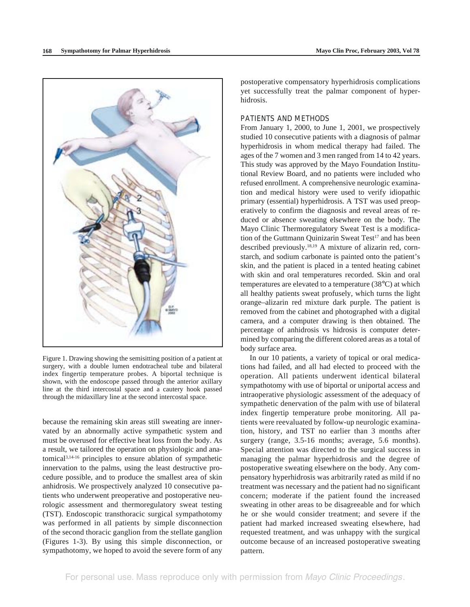

Figure 1. Drawing showing the semisitting position of a patient at surgery, with a double lumen endotracheal tube and bilateral index fingertip temperature probes. A biportal technique is shown, with the endoscope passed through the anterior axillary line at the third intercostal space and a cautery hook passed through the midaxillary line at the second intercostal space.

because the remaining skin areas still sweating are innervated by an abnormally active sympathetic system and must be overused for effective heat loss from the body. As a result, we tailored the operation on physiologic and anatomical3,14-16 principles to ensure ablation of sympathetic innervation to the palms, using the least destructive procedure possible, and to produce the smallest area of skin anhidrosis. We prospectively analyzed 10 consecutive patients who underwent preoperative and postoperative neurologic assessment and thermoregulatory sweat testing (TST). Endoscopic transthoracic surgical sympathotomy was performed in all patients by simple disconnection of the second thoracic ganglion from the stellate ganglion (Figures 1-3). By using this simple disconnection, or sympathotomy, we hoped to avoid the severe form of any

postoperative compensatory hyperhidrosis complications yet successfully treat the palmar component of hyperhidrosis.

# PATIENTS AND METHODS

From January 1, 2000, to June 1, 2001, we prospectively studied 10 consecutive patients with a diagnosis of palmar hyperhidrosis in whom medical therapy had failed. The ages of the 7 women and 3 men ranged from 14 to 42 years. This study was approved by the Mayo Foundation Institutional Review Board, and no patients were included who refused enrollment. A comprehensive neurologic examination and medical history were used to verify idiopathic primary (essential) hyperhidrosis. A TST was used preoperatively to confirm the diagnosis and reveal areas of reduced or absence sweating elsewhere on the body. The Mayo Clinic Thermoregulatory Sweat Test is a modification of the Guttmann Quinizarin Sweat Test<sup>17</sup> and has been described previously.18,19 A mixture of alizarin red, cornstarch, and sodium carbonate is painted onto the patient's skin, and the patient is placed in a tented heating cabinet with skin and oral temperatures recorded. Skin and oral temperatures are elevated to a temperature (38°C) at which all healthy patients sweat profusely, which turns the light orange–alizarin red mixture dark purple. The patient is removed from the cabinet and photographed with a digital camera, and a computer drawing is then obtained. The percentage of anhidrosis vs hidrosis is computer determined by comparing the different colored areas as a total of body surface area.

In our 10 patients, a variety of topical or oral medications had failed, and all had elected to proceed with the operation. All patients underwent identical bilateral sympathotomy with use of biportal or uniportal access and intraoperative physiologic assessment of the adequacy of sympathetic denervation of the palm with use of bilateral index fingertip temperature probe monitoring. All patients were reevaluated by follow-up neurologic examination, history, and TST no earlier than 3 months after surgery (range, 3.5-16 months; average, 5.6 months). Special attention was directed to the surgical success in managing the palmar hyperhidrosis and the degree of postoperative sweating elsewhere on the body. Any compensatory hyperhidrosis was arbitrarily rated as mild if no treatment was necessary and the patient had no significant concern; moderate if the patient found the increased sweating in other areas to be disagreeable and for which he or she would consider treatment; and severe if the patient had marked increased sweating elsewhere, had requested treatment, and was unhappy with the surgical outcome because of an increased postoperative sweating pattern.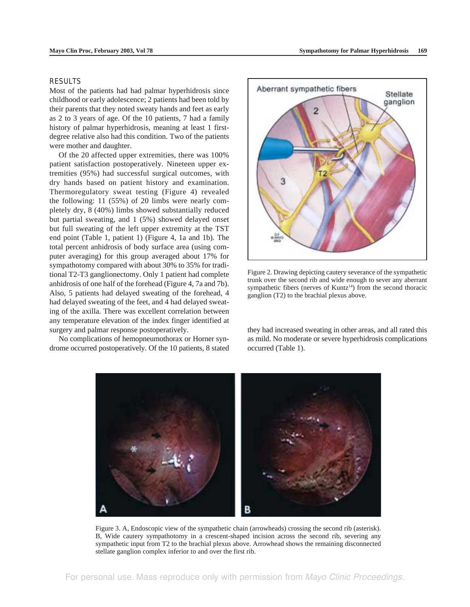## RESULTS

Most of the patients had had palmar hyperhidrosis since childhood or early adolescence; 2 patients had been told by their parents that they noted sweaty hands and feet as early as 2 to 3 years of age. Of the 10 patients, 7 had a family history of palmar hyperhidrosis, meaning at least 1 firstdegree relative also had this condition. Two of the patients were mother and daughter.

Of the 20 affected upper extremities, there was 100% patient satisfaction postoperatively. Nineteen upper extremities (95%) had successful surgical outcomes, with dry hands based on patient history and examination. Thermoregulatory sweat testing (Figure 4) revealed the following: 11 (55%) of 20 limbs were nearly completely dry, 8 (40%) limbs showed substantially reduced but partial sweating, and 1 (5%) showed delayed onset but full sweating of the left upper extremity at the TST end point (Table 1, patient 1) (Figure 4, 1a and 1b). The total percent anhidrosis of body surface area (using computer averaging) for this group averaged about 17% for sympathotomy compared with about 30% to 35% for traditional T2-T3 ganglionectomy. Only 1 patient had complete anhidrosis of one half of the forehead (Figure 4, 7a and 7b). Also, 5 patients had delayed sweating of the forehead, 4 had delayed sweating of the feet, and 4 had delayed sweating of the axilla. There was excellent correlation between any temperature elevation of the index finger identified at surgery and palmar response postoperatively.

No complications of hemopneumothorax or Horner syndrome occurred postoperatively. Of the 10 patients, 8 stated



Figure 2. Drawing depicting cautery severance of the sympathetic trunk over the second rib and wide enough to sever any aberrant sympathetic fibers (nerves of Kuntz<sup>14</sup>) from the second thoracic ganglion (T2) to the brachial plexus above.

they had increased sweating in other areas, and all rated this as mild. No moderate or severe hyperhidrosis complications occurred (Table 1).



Figure 3. A, Endoscopic view of the sympathetic chain (arrowheads) crossing the second rib (asterisk). B, Wide cautery sympathotomy in a crescent-shaped incision across the second rib, severing any sympathetic input from T2 to the brachial plexus above. Arrowhead shows the remaining disconnected stellate ganglion complex inferior to and over the first rib.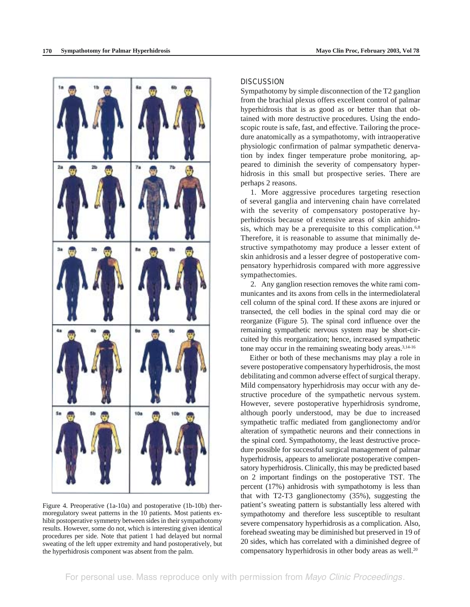

Figure 4. Preoperative (1a-10a) and postoperative (1b-10b) thermoregulatory sweat patterns in the 10 patients. Most patients exhibit postoperative symmetry between sides in their sympathotomy results. However, some do not, which is interesting given identical procedures per side. Note that patient 1 had delayed but normal sweating of the left upper extremity and hand postoperatively, but the hyperhidrosis component was absent from the palm.

## **DISCUSSION**

Sympathotomy by simple disconnection of the T2 ganglion from the brachial plexus offers excellent control of palmar hyperhidrosis that is as good as or better than that obtained with more destructive procedures. Using the endoscopic route is safe, fast, and effective. Tailoring the procedure anatomically as a sympathotomy, with intraoperative physiologic confirmation of palmar sympathetic denervation by index finger temperature probe monitoring, appeared to diminish the severity of compensatory hyperhidrosis in this small but prospective series. There are perhaps 2 reasons.

1. More aggressive procedures targeting resection of several ganglia and intervening chain have correlated with the severity of compensatory postoperative hyperhidrosis because of extensive areas of skin anhidrosis, which may be a prerequisite to this complication.<sup>6,8</sup> Therefore, it is reasonable to assume that minimally destructive sympathotomy may produce a lesser extent of skin anhidrosis and a lesser degree of postoperative compensatory hyperhidrosis compared with more aggressive sympathectomies.

2. Any ganglion resection removes the white rami communicantes and its axons from cells in the intermediolateral cell column of the spinal cord. If these axons are injured or transected, the cell bodies in the spinal cord may die or reorganize (Figure 5). The spinal cord influence over the remaining sympathetic nervous system may be short-circuited by this reorganization; hence, increased sympathetic tone may occur in the remaining sweating body areas.<sup>3,14-16</sup>

Either or both of these mechanisms may play a role in severe postoperative compensatory hyperhidrosis, the most debilitating and common adverse effect of surgical therapy. Mild compensatory hyperhidrosis may occur with any destructive procedure of the sympathetic nervous system. However, severe postoperative hyperhidrosis syndrome, although poorly understood, may be due to increased sympathetic traffic mediated from ganglionectomy and/or alteration of sympathetic neurons and their connections in the spinal cord. Sympathotomy, the least destructive procedure possible for successful surgical management of palmar hyperhidrosis, appears to ameliorate postoperative compensatory hyperhidrosis. Clinically, this may be predicted based on 2 important findings on the postoperative TST. The percent (17%) anhidrosis with sympathotomy is less than that with T2-T3 ganglionectomy (35%), suggesting the patient's sweating pattern is substantially less altered with sympathotomy and therefore less susceptible to resultant severe compensatory hyperhidrosis as a complication. Also, forehead sweating may be diminished but preserved in 19 of 20 sides, which has correlated with a diminished degree of compensatory hyperhidrosis in other body areas as well.20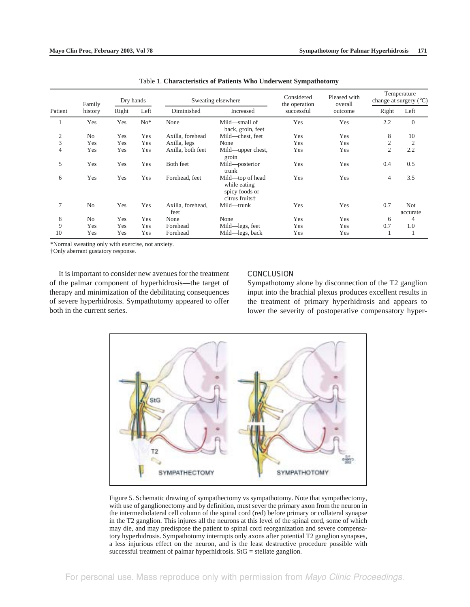| Patient        | Family<br>history | Dry hands |       | Sweating elsewhere        |                                                                      | Considered<br>the operation | Pleased with<br>overall | Temperature<br>change at surgery $(^{\circ}C)$ |                        |
|----------------|-------------------|-----------|-------|---------------------------|----------------------------------------------------------------------|-----------------------------|-------------------------|------------------------------------------------|------------------------|
|                |                   | Right     | Left  | Diminished                | Increased                                                            | successful                  | outcome                 | Right                                          | Left                   |
|                | Yes               | Yes       | $No*$ | None                      | Mild—small of<br>back, groin, feet                                   | Yes                         | Yes                     | 2.2                                            | $\mathbf{0}$           |
| $\overline{c}$ | N <sub>0</sub>    | Yes       | Yes   | Axilla, forehead          | Mild—chest, feet                                                     | Yes                         | Yes                     | 8                                              | 10                     |
| 3              | Yes               | Yes       | Yes   | Axilla, legs              | None                                                                 | Yes                         | Yes                     | $\overline{c}$                                 | $\overline{2}$         |
| 4              | Yes               | Yes       | Yes   | Axilla, both feet         | Mild—upper chest,<br>groin                                           | Yes                         | Yes                     | $\overline{c}$                                 | 2.2                    |
| 5              | Yes               | Yes       | Yes   | Both feet                 | Mild—posterior<br>trunk                                              | Yes                         | Yes                     | 0.4                                            | 0.5                    |
| 6              | Yes               | Yes       | Yes   | Forehead, feet            | Mild—top of head<br>while eating<br>spicy foods or<br>citrus fruits† | Yes                         | Yes                     | 4                                              | 3.5                    |
| 7              | No                | Yes       | Yes   | Axilla, forehead,<br>feet | Mild-trunk                                                           | Yes                         | Yes                     | 0.7                                            | <b>Not</b><br>accurate |
| 8              | N <sub>0</sub>    | Yes       | Yes   | None                      | None                                                                 | Yes                         | Yes                     | 6                                              | 4                      |
| 9              | Yes               | Yes       | Yes   | Forehead                  | Mild—legs, feet                                                      | Yes                         | Yes                     | 0.7                                            | 1.0                    |
| 10             | Yes               | Yes       | Yes   | Forehead                  | Mild—legs, back                                                      | Yes                         | Yes                     |                                                | 1                      |

Table 1. **Characteristics of Patients Who Underwent Sympathotomy**

\*Normal sweating only with exercise, not anxiety.

†Only aberrant gustatory response.

It is important to consider new avenues for the treatment of the palmar component of hyperhidrosis—the target of therapy and minimization of the debilitating consequences of severe hyperhidrosis. Sympathotomy appeared to offer both in the current series.

#### **CONCLUSION**

Sympathotomy alone by disconnection of the T2 ganglion input into the brachial plexus produces excellent results in the treatment of primary hyperhidrosis and appears to lower the severity of postoperative compensatory hyper-



Figure 5. Schematic drawing of sympathectomy vs sympathotomy. Note that sympathectomy, with use of ganglionectomy and by definition, must sever the primary axon from the neuron in the intermediolateral cell column of the spinal cord (red) before primary or collateral synapse in the T2 ganglion. This injures all the neurons at this level of the spinal cord, some of which may die, and may predispose the patient to spinal cord reorganization and severe compensatory hyperhidrosis. Sympathotomy interrupts only axons after potential T2 ganglion synapses, a less injurious effect on the neuron, and is the least destructive procedure possible with successful treatment of palmar hyperhidrosis.  $StG =$  stellate ganglion.